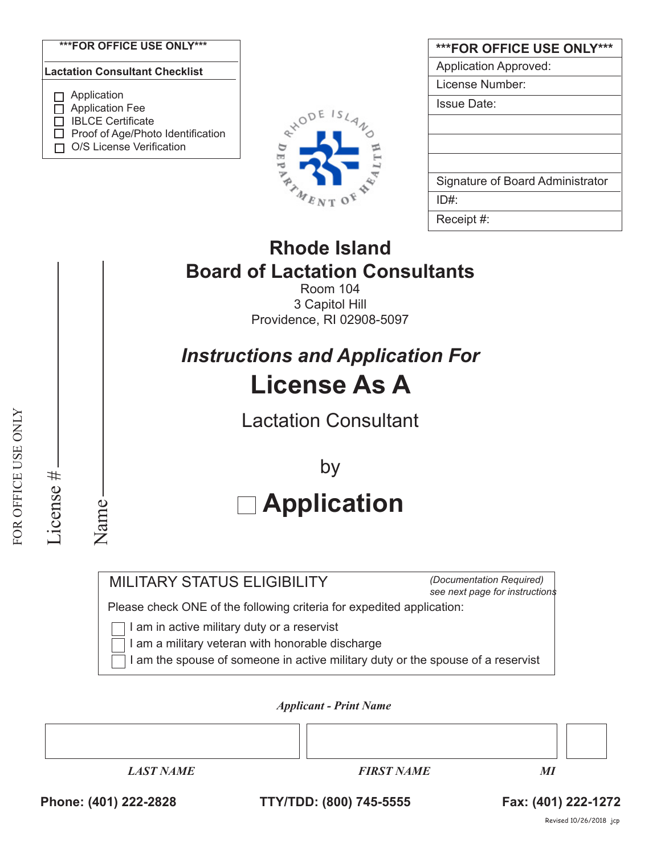



| <b>***FOR OFFICE USE ONLY***</b> |
|----------------------------------|
| <b>Application Approved:</b>     |
| License Number:                  |
| <b>Issue Date:</b>               |
|                                  |
|                                  |
|                                  |
| Signature of Board Administrator |
| ID#                              |
| Receipt #:                       |

## **Rhode Island Board of Lactation Consultants**

Room 104 3 Capitol Hill Providence, RI 02908-5097

# *Instructions and Application For* **License As A**

Lactation Consultant

 **Application** by

MILITARY STATUS ELIGIBILITY

*(Documentation Required) see next page for instructions*

Please check ONE of the following criteria for expedited application:

I am in active military duty or a reservist

I am a military veteran with honorable discharge

I am the spouse of someone in active military duty or the spouse of a reservist

*Applicant - Print Name* 



### **Phone: (401) 222-2828 TTY/TDD: (800) 745-5555 Fax: (401) 222-1272**

License #

License #

Name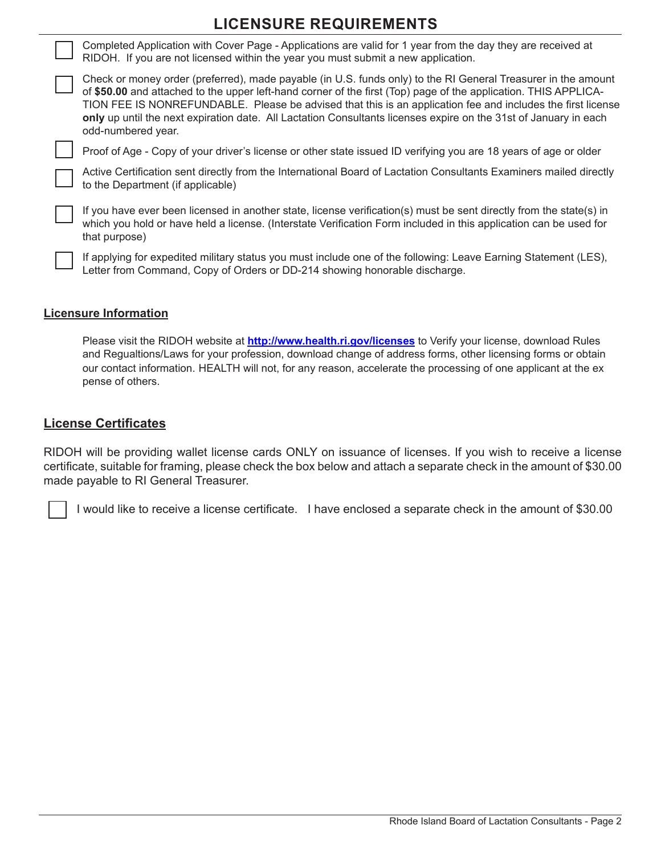## **LICENSURE REQUIREMENTS**

Completed Application with Cover Page - Applications are valid for 1 year from the day they are received at RIDOH. If you are not licensed within the year you must submit a new application.

Check or money order (preferred), made payable (in U.S. funds only) to the RI General Treasurer in the amount of **\$50.00** and attached to the upper left-hand corner of the first (Top) page of the application. THIS APPLICA-TION FEE IS NONREFUNDABLE. Please be advised that this is an application fee and includes the first license **only** up until the next expiration date. All Lactation Consultants licenses expire on the 31st of January in each odd-numbered year.

Proof of Age - Copy of your driver's license or other state issued ID verifying you are 18 years of age or older

Active Certification sent directly from the International Board of Lactation Consultants Examiners mailed directly to the Department (if applicable)

If you have ever been licensed in another state, license verification(s) must be sent directly from the state(s) in which you hold or have held a license. (Interstate Verification Form included in this application can be used for that purpose)

If applying for expedited military status you must include one of the following: Leave Earning Statement (LES), Letter from Command, Copy of Orders or DD-214 showing honorable discharge.

#### **Licensure Information**

Please visit the RIDOH website at **http://www.health.ri.gov/licenses** to Verify your license, download Rules and Regualtions/Laws for your profession, download change of address forms, other licensing forms or obtain our contact information. HEALTH will not, for any reason, accelerate the processing of one applicant at the ex pense of others.

#### **License Certificates**

RIDOH will be providing wallet license cards ONLY on issuance of licenses. If you wish to receive a license certificate, suitable for framing, please check the box below and attach a separate check in the amount of \$30.00 made payable to RI General Treasurer.

I would like to receive a license certificate. I have enclosed a separate check in the amount of \$30.00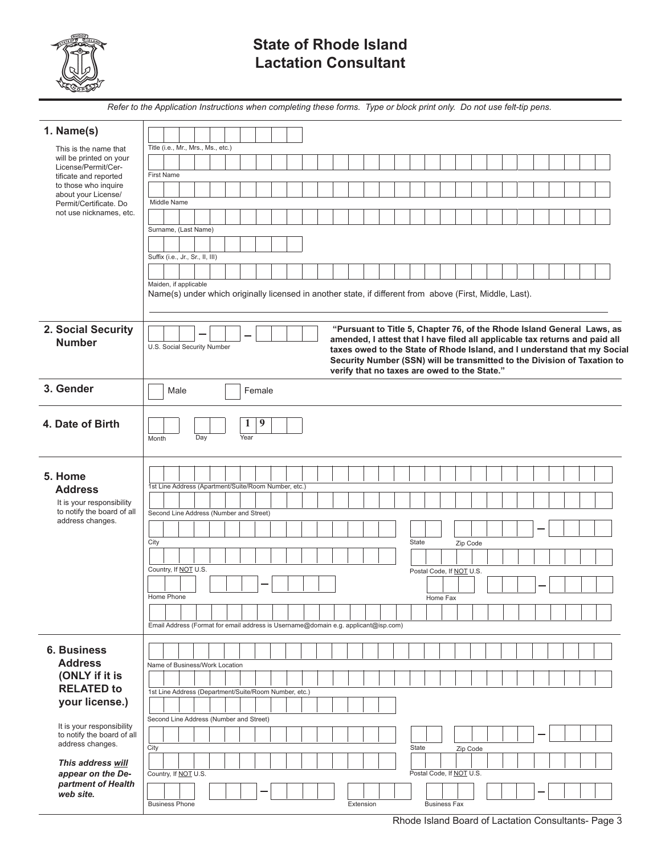

*partment of Health* 

*web site.*

## **State of Rhode Island Lactation Consultant**

|                                                   | Refer to the Application Instructions when completing these forms. Type or block print only. Do not use felt-tip pens.                                |
|---------------------------------------------------|-------------------------------------------------------------------------------------------------------------------------------------------------------|
|                                                   |                                                                                                                                                       |
| 1. Name(s)                                        |                                                                                                                                                       |
| This is the name that                             | Title (i.e., Mr., Mrs., Ms., etc.)                                                                                                                    |
| will be printed on your<br>License/Permit/Cer-    |                                                                                                                                                       |
| tificate and reported<br>to those who inquire     | <b>First Name</b>                                                                                                                                     |
| about your License/                               |                                                                                                                                                       |
| Permit/Certificate. Do<br>not use nicknames, etc. | Middle Name                                                                                                                                           |
|                                                   |                                                                                                                                                       |
|                                                   | Surname, (Last Name)                                                                                                                                  |
|                                                   | Suffix (i.e., Jr., Sr., II, III)                                                                                                                      |
|                                                   |                                                                                                                                                       |
|                                                   | Maiden, if applicable                                                                                                                                 |
|                                                   | Name(s) under which originally licensed in another state, if different from above (First, Middle, Last).                                              |
|                                                   |                                                                                                                                                       |
|                                                   |                                                                                                                                                       |
| 2. Social Security                                | "Pursuant to Title 5, Chapter 76, of the Rhode Island General Laws, as<br>amended, I attest that I have filed all applicable tax returns and paid all |
| <b>Number</b>                                     | U.S. Social Security Number<br>taxes owed to the State of Rhode Island, and I understand that my Social                                               |
|                                                   | Security Number (SSN) will be transmitted to the Division of Taxation to                                                                              |
|                                                   | verify that no taxes are owed to the State."                                                                                                          |
| 3. Gender                                         | Male<br>Female                                                                                                                                        |
|                                                   |                                                                                                                                                       |
| 4. Date of Birth                                  | 9<br>$\bf{l}$                                                                                                                                         |
|                                                   | Day<br>Year<br>Month                                                                                                                                  |
|                                                   |                                                                                                                                                       |
|                                                   |                                                                                                                                                       |
| 5. Home                                           |                                                                                                                                                       |
| <b>Address</b>                                    | 1st Line Address (Apartment/Suite/Room Number, etc.)                                                                                                  |
| It is your responsibility                         |                                                                                                                                                       |
| to notify the board of all<br>address changes.    | Second Line Address (Number and Street)                                                                                                               |
|                                                   |                                                                                                                                                       |
|                                                   | City<br>State<br>Zip Code                                                                                                                             |
|                                                   |                                                                                                                                                       |
|                                                   | Country, If NOT U.S.<br>Postal Code, If NOT U.S.                                                                                                      |
|                                                   |                                                                                                                                                       |
|                                                   | Home Phone<br>Home Fax                                                                                                                                |
|                                                   |                                                                                                                                                       |
|                                                   | Email Address (Format for email address is Username@domain e.g. applicant@isp.com)                                                                    |
|                                                   |                                                                                                                                                       |
| <b>6. Business</b>                                |                                                                                                                                                       |
| <b>Address</b>                                    | Name of Business/Work Location                                                                                                                        |
| (ONLY if it is<br><b>RELATED to</b>               |                                                                                                                                                       |
|                                                   | 1st Line Address (Department/Suite/Room Number, etc.)                                                                                                 |
| your license.)                                    |                                                                                                                                                       |
| It is your responsibility                         | Second Line Address (Number and Street)                                                                                                               |
| to notify the board of all                        |                                                                                                                                                       |
|                                                   |                                                                                                                                                       |
| address changes.                                  | City<br>State<br>Zip Code                                                                                                                             |
| This address will<br>appear on the De-            | Postal Code, If NOT U.S.<br>Country, If NOT U.S.                                                                                                      |

Business Phone **Extension** Business Fax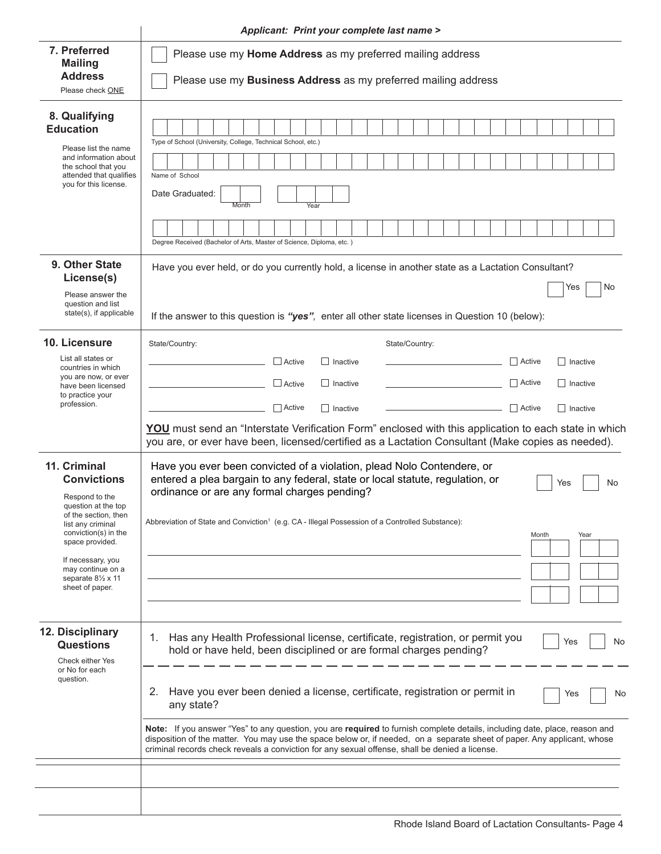|                                                                                                                                                                                                                                                        | <b>Applicant: Print your complete last name &gt;</b>                                                                                                                                                                                                                                                                                                                                                                                                                                                                                                                                                                                               |  |  |  |  |  |  |  |
|--------------------------------------------------------------------------------------------------------------------------------------------------------------------------------------------------------------------------------------------------------|----------------------------------------------------------------------------------------------------------------------------------------------------------------------------------------------------------------------------------------------------------------------------------------------------------------------------------------------------------------------------------------------------------------------------------------------------------------------------------------------------------------------------------------------------------------------------------------------------------------------------------------------------|--|--|--|--|--|--|--|
| 7. Preferred<br><b>Mailing</b><br><b>Address</b><br>Please check ONE                                                                                                                                                                                   | Please use my Home Address as my preferred mailing address<br>Please use my Business Address as my preferred mailing address                                                                                                                                                                                                                                                                                                                                                                                                                                                                                                                       |  |  |  |  |  |  |  |
| 8. Qualifying<br><b>Education</b><br>Please list the name<br>and information about<br>the school that you<br>attended that qualifies<br>you for this license.                                                                                          | Type of School (University, College, Technical School, etc.)<br>Name of School<br>Date Graduated:<br>Month<br>Year<br>Degree Received (Bachelor of Arts, Master of Science, Diploma, etc.)                                                                                                                                                                                                                                                                                                                                                                                                                                                         |  |  |  |  |  |  |  |
| 9. Other State<br>License(s)<br>Please answer the<br>question and list<br>state(s), if applicable                                                                                                                                                      | Have you ever held, or do you currently hold, a license in another state as a Lactation Consultant?<br>No<br>Yes<br>If the answer to this question is "yes", enter all other state licenses in Question 10 (below):                                                                                                                                                                                                                                                                                                                                                                                                                                |  |  |  |  |  |  |  |
| 10. Licensure<br>List all states or<br>countries in which<br>you are now, or ever<br>have been licensed<br>to practice your<br>profession.                                                                                                             | State/Country:<br>State/Country:<br>$\Box$ Active<br>$\Box$ Active<br>    Inactive<br>Inactive<br>$\Box$ Active<br>$\Box$ Inactive<br>Active<br><b>Inactive</b><br>$\Box$ Active<br><b>□</b> Active<br>$\Box$ Inactive<br>Inactive<br>YOU must send an "Interstate Verification Form" enclosed with this application to each state in which<br>you are, or ever have been, licensed/certified as a Lactation Consultant (Make copies as needed).                                                                                                                                                                                                   |  |  |  |  |  |  |  |
| 11. Criminal<br><b>Convictions</b><br>Respond to the<br>question at the top<br>of the section, then<br>list any criminal<br>conviction(s) in the<br>space provided.<br>If necessary, you<br>may continue on a<br>separate 81/2 x 11<br>sheet of paper. | Have you ever been convicted of a violation, plead Nolo Contendere, or<br>entered a plea bargain to any federal, state or local statute, regulation, or<br>No<br>Yes<br>ordinance or are any formal charges pending?<br>Abbreviation of State and Conviction <sup>1</sup> (e.g. CA - Illegal Possession of a Controlled Substance):<br>Month<br>Year                                                                                                                                                                                                                                                                                               |  |  |  |  |  |  |  |
| 12. Disciplinary<br><b>Questions</b><br>Check either Yes<br>or No for each<br>question.                                                                                                                                                                | Has any Health Professional license, certificate, registration, or permit you<br>1.<br>Yes<br>No<br>hold or have held, been disciplined or are formal charges pending?<br>Have you ever been denied a license, certificate, registration or permit in<br>2.<br>Yes<br>No<br>any state?<br>Note: If you answer "Yes" to any question, you are required to furnish complete details, including date, place, reason and<br>disposition of the matter. You may use the space below or, if needed, on a separate sheet of paper. Any applicant, whose<br>criminal records check reveals a conviction for any sexual offense, shall be denied a license. |  |  |  |  |  |  |  |
|                                                                                                                                                                                                                                                        |                                                                                                                                                                                                                                                                                                                                                                                                                                                                                                                                                                                                                                                    |  |  |  |  |  |  |  |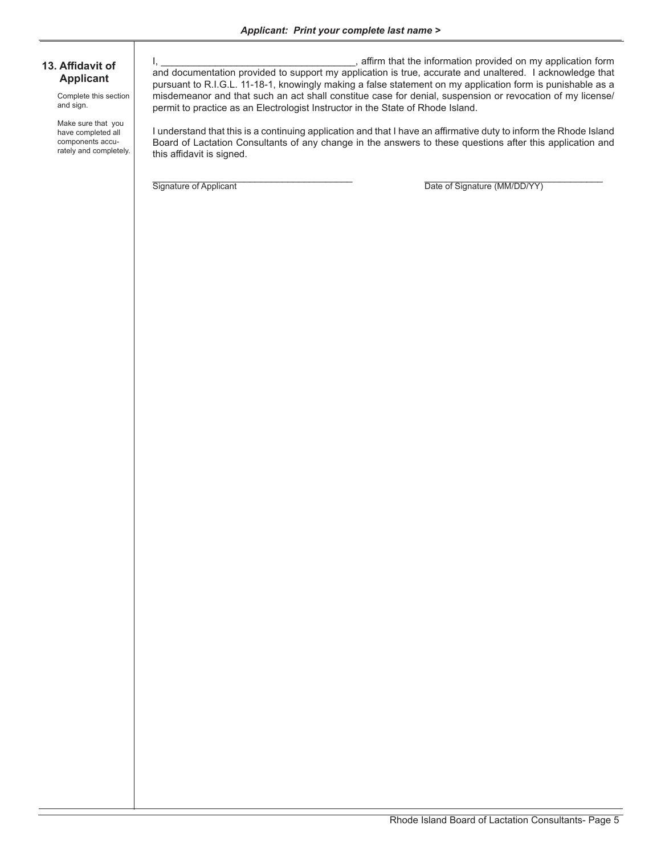#### **13. Affidavit of Applicant**

Complete this section and sign.

Make sure that you have completed all components accurately and completely.

I, \_\_\_\_\_\_\_\_\_\_\_\_\_\_\_\_\_\_\_\_\_\_\_\_\_\_\_\_\_\_\_\_\_\_\_\_, affirm that the information provided on my application form and documentation provided to support my application is true, accurate and unaltered. I acknowledge that pursuant to R.I.G.L. 11-18-1, knowingly making a false statement on my application form is punishable as a misdemeanor and that such an act shall constitue case for denial, suspension or revocation of my license/ permit to practice as an Electrologist Instructor in the State of Rhode Island.

I understand that this is a continuing application and that I have an affirmative duty to inform the Rhode Island Board of Lactation Consultants of any change in the answers to these questions after this application and this affidavit is signed.

Signature of Applicant **Example 20** Control of Signature (MM/DD/YY)